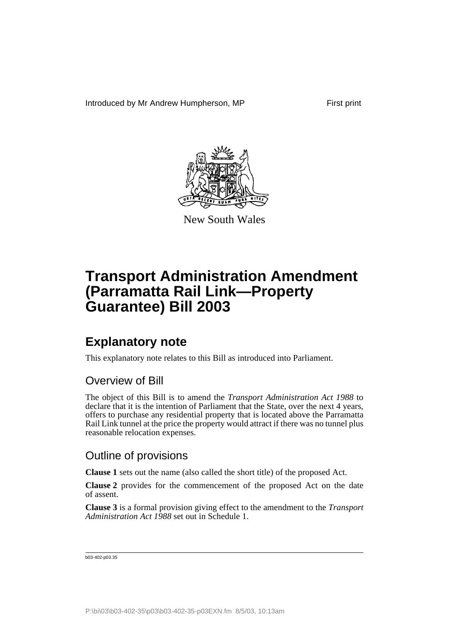Introduced by Mr Andrew Humpherson, MP First print



New South Wales

## **Transport Administration Amendment (Parramatta Rail Link—Property Guarantee) Bill 2003**

## **Explanatory note**

This explanatory note relates to this Bill as introduced into Parliament.

### Overview of Bill

The object of this Bill is to amend the *Transport Administration Act 1988* to declare that it is the intention of Parliament that the State, over the next 4 years, offers to purchase any residential property that is located above the Parramatta Rail Link tunnel at the price the property would attract if there was no tunnel plus reasonable relocation expenses.

### Outline of provisions

**Clause 1** sets out the name (also called the short title) of the proposed Act.

**Clause 2** provides for the commencement of the proposed Act on the date of assent.

**Clause 3** is a formal provision giving effect to the amendment to the *Transport Administration Act 1988* set out in Schedule 1.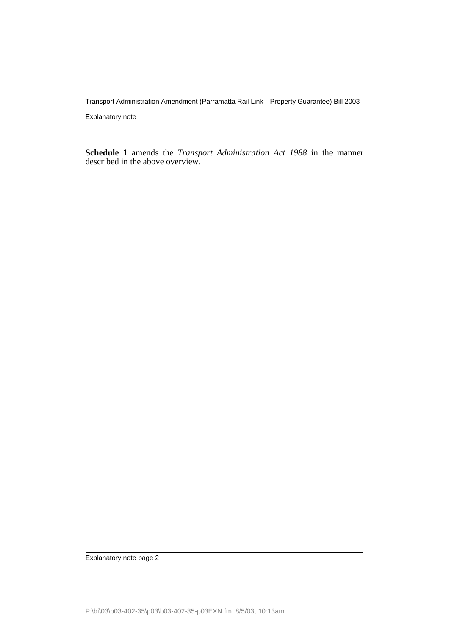Transport Administration Amendment (Parramatta Rail Link—Property Guarantee) Bill 2003

Explanatory note

**Schedule 1** amends the *Transport Administration Act 1988* in the manner described in the above overview.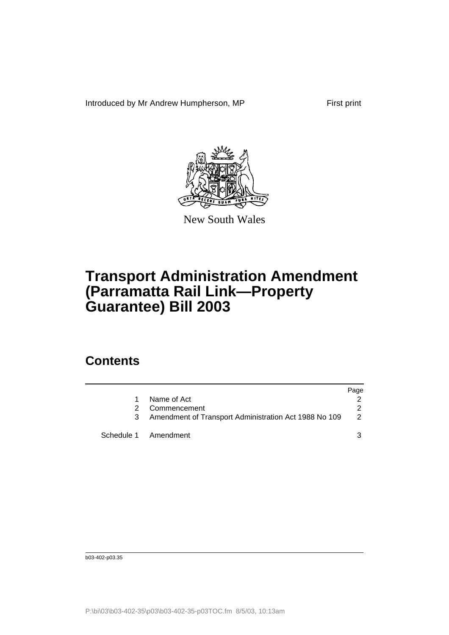Introduced by Mr Andrew Humpherson, MP First print



New South Wales

# **Transport Administration Amendment (Parramatta Rail Link—Property Guarantee) Bill 2003**

## **Contents**

|                                                       | Page |
|-------------------------------------------------------|------|
| Name of Act                                           |      |
| 2 Commencement                                        |      |
| Amendment of Transport Administration Act 1988 No 109 |      |
| Schedule 1 Amendment                                  |      |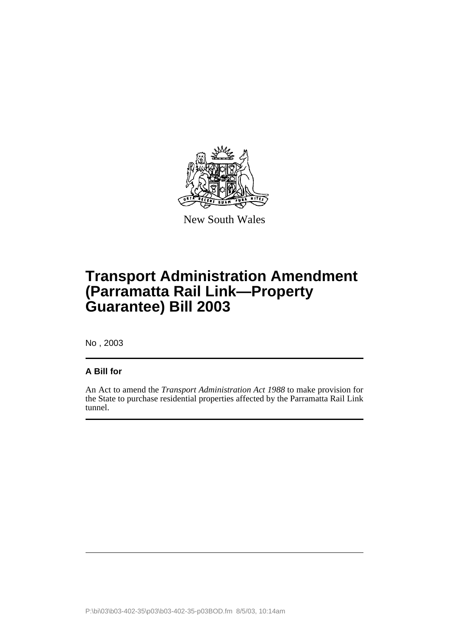

New South Wales

# **Transport Administration Amendment (Parramatta Rail Link—Property Guarantee) Bill 2003**

No , 2003

### **A Bill for**

An Act to amend the *Transport Administration Act 1988* to make provision for the State to purchase residential properties affected by the Parramatta Rail Link tunnel.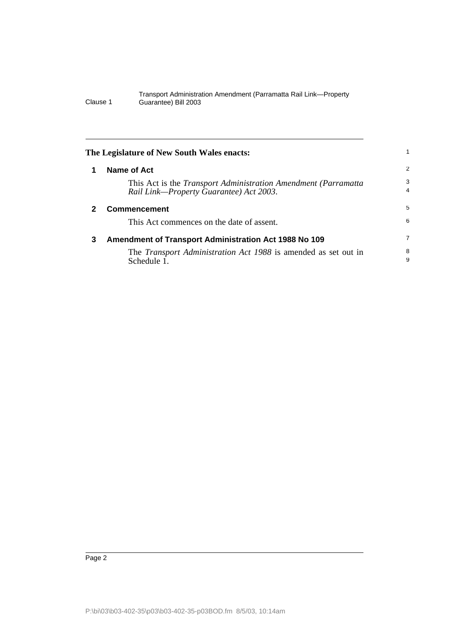#### Transport Administration Amendment (Parramatta Rail Link—Property Clause 1 Guarantee) Bill 2003

<span id="page-5-2"></span><span id="page-5-1"></span><span id="page-5-0"></span>

| The Legislature of New South Wales enacts: |                                                                                                                    |                     |
|--------------------------------------------|--------------------------------------------------------------------------------------------------------------------|---------------------|
|                                            | <b>Name of Act</b>                                                                                                 | $\overline{2}$      |
|                                            | This Act is the <i>Transport Administration Amendment (Parramatta</i> )<br>Rail Link-Property Guarantee) Act 2003. | 3<br>$\overline{4}$ |
| 2                                          | <b>Commencement</b>                                                                                                | 5                   |
|                                            | This Act commences on the date of assent.                                                                          | 6                   |
| 3                                          | <b>Amendment of Transport Administration Act 1988 No 109</b>                                                       | 7                   |
|                                            | The <i>Transport Administration Act 1988</i> is amended as set out in<br>Schedule 1.                               | 8<br>9              |